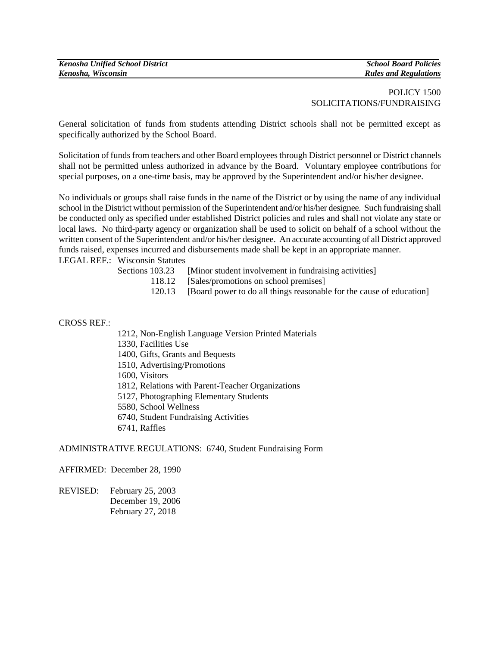# POLICY 1500 SOLICITATIONS/FUNDRAISING

General solicitation of funds from students attending District schools shall not be permitted except as specifically authorized by the School Board.

Solicitation of funds from teachers and other Board employees through District personnel or District channels shall not be permitted unless authorized in advance by the Board. Voluntary employee contributions for special purposes, on a one-time basis, may be approved by the Superintendent and/or his/her designee.

No individuals or groups shall raise funds in the name of the District or by using the name of any individual school in the District without permission of the Superintendent and/or his/her designee. Such fundraising shall be conducted only as specified under established District policies and rules and shall not violate any state or local laws. No third-party agency or organization shall be used to solicit on behalf of a school without the written consent of the Superintendent and/or his/her designee. An accurate accounting of all District approved funds raised, expenses incurred and disbursements made shall be kept in an appropriate manner.

LEGAL REF.: Wisconsin Statutes

| Sections 103.23 | [Minor student involvement in fundraising activities] |  |  |
|-----------------|-------------------------------------------------------|--|--|
|                 |                                                       |  |  |

- 118.12 [Sales/promotions on school premises]
- 120.13 [Board power to do all things reasonable for the cause of education]

CROSS REF.:

- 1212, Non-English Language Version Printed Materials
- 1330, Facilities Use
- 1400, Gifts, Grants and Bequests
- 1510, Advertising/Promotions
- 1600, Visitors
- 1812, Relations with Parent-Teacher Organizations
- 5127, Photographing Elementary Students
- 5580, School Wellness
- 6740, Student Fundraising Activities
- 6741, Raffles

### ADMINISTRATIVE REGULATIONS: 6740, Student Fundraising Form

AFFIRMED: December 28, 1990

REVISED: February 25, 2003 December 19, 2006 February 27, 2018